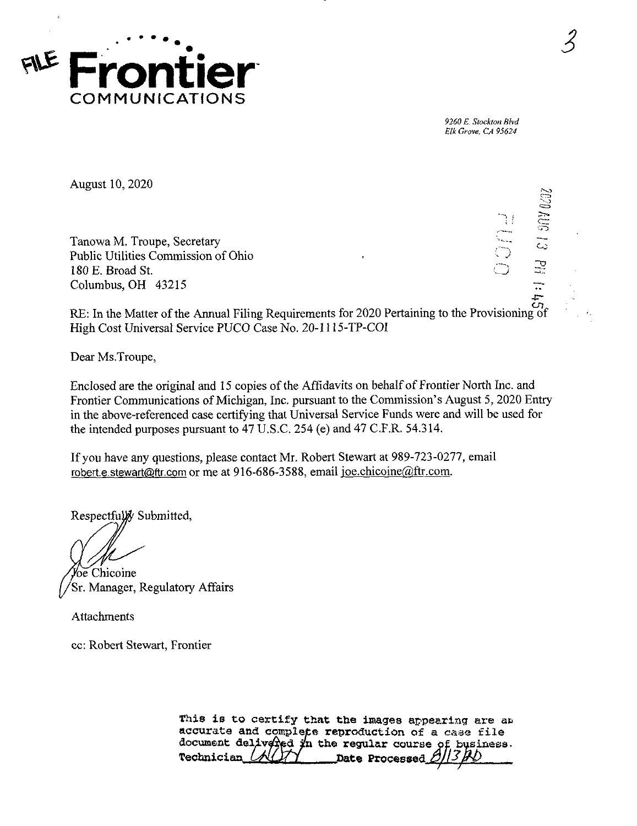

*9260 E. Stockton Blvd Elk Grove, CA 95624*

August 10, 2020

Tanowa M. Troupe, Secretary Public Utilities Commission of Ohio 180 E. Broad St. Columbus, OH 43215

*-j* •-3T) .<br>د

*3*

RE: In the Matter of the Annual Filing Requirements for 2020 Pertaining to the Provisioning of High Cost Universal Service PUCO Case No. 20-1115-TP-COI

Dear Ms.Troupe,

Enclosed are the original and 15 copies of the Affidavits on behalf of Frontier North Inc. and Frontier Communications of Michigan, Inc. pursuant to the Commission's August 5, 2020 Entry in the above-referenced case certifying that Universal Service Funds were and will be used for the intended purposes pursuant to 47 U.S.C. 254 (e) and 47 C.F.R. 54.314.

Ifyou have any questions, please contact Mr. Robert Stewart at 989-723-0277, email robert.e.stewart@ftr.com or me at 916-686-3588, email ioe.chicoine@ftr.com.

Respectfully Submitted,

'oe Chicoine 'Sr. Manager, Regulatory Affairs

Attachments

cc: Robert Stewart, Frontier

This is to certify that the images appearing are an accurate and complete reproduction of <sup>a</sup> case file document delivered in the regular course of business.<br>Technician (AU) juice Processed 0/3/20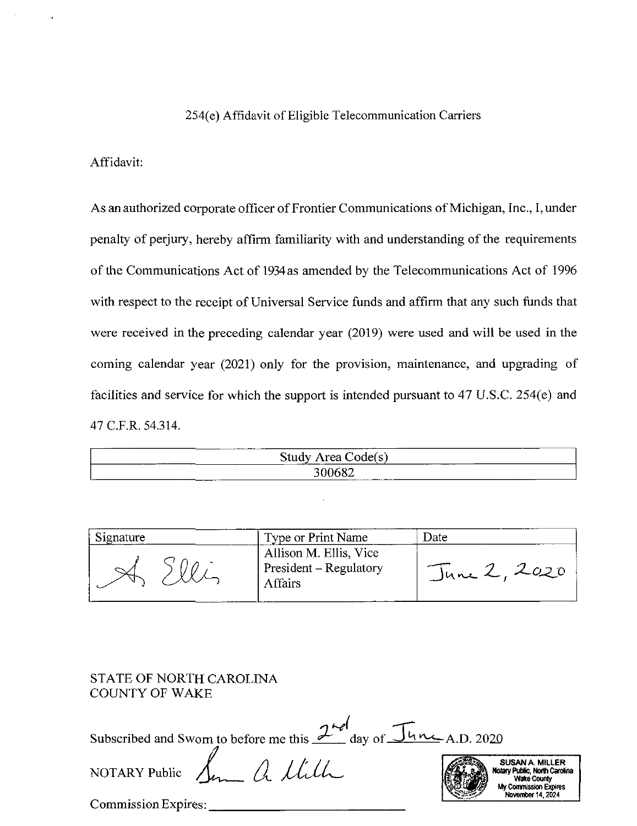### 254(e) Affidavit of Eligible Telecommunication Carriers

#### Affidavit:

As an authorized corporate officer of Frontier Communications of Michigan, Inc., I, under penalty of perjury, hereby affirm familiarity with and understanding of the requirements of the Communications Act of 1934 as amended by the Telecommunications Act of 1996 with respect to the receipt of Universal Service funds and affirm that any such funds that were received in the preceding calendar year (2019) were used and will be used in the coming calendar year (2021) only for the provision, maintenance, and upgrading of facilities and service for which the support is intended pursuant to 47 U.S.C. 254(e) and 47C.F.R. 54.314.

| ------ | ------------<br>study<br>odel s<br>r o o<br>. .<br><u>ru</u> va<br>$\sim$<br>-----<br>___ |  |
|--------|-------------------------------------------------------------------------------------------|--|
| سسا    | $\sim$ 0.0<br>______                                                                      |  |

| Signature | Type or Print Name                                          | Date         |
|-----------|-------------------------------------------------------------|--------------|
|           | Allison M. Ellis, Vice<br>President – Regulatory<br>Affairs | June 2, 2020 |

### STATE OF NORTH CAROLINA COUNTY OF WAKE

Subscribed and Sworn to before me this  $2^{nd}$  day of  $\overline{\int}$ un A.D. 2020

SUSAN A. MILLER<br>Notary Public, North Carolina **Wake County<br>Wy Commission Exoires** My Convnission Expires November 14,2024

*NOTARY Public JitM^*

Commission Expires: